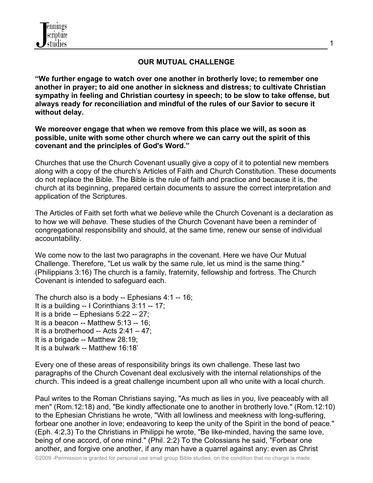

#### **OUR MUTUAL CHALLENGE**

**"We further engage to watch over one another in brotherly love; to remember one another in prayer; to aid one another in sickness and distress; to cultivate Christian sympathy in feeling and Christian courtesy in speech; to be slow to take offense, but always ready for reconciliation and mindful of the rules of our Savior to secure it without delay.** 

**We moreover engage that when we remove from this place we will, as soon as possible, unite with some other church where we can carry out the spirit of this covenant and the principles of God's Word."**

Churches that use the Church Covenant usually give a copy of it to potential new members along with a copy of the church's Articles of Faith and Church Constitution. These documents do not replace the Bible. The Bible is the rule of faith and practice and because it is, the church at its beginning, prepared certain documents to assure the correct interpretation and application of the Scriptures.

The Articles of Faith set forth what we *believe* while the Church Covenant is a declaration as to how we will *behave.* These studies of the Church Covenant have been a reminder of congregational responsibility and should, at the same time, renew our sense of individual accountability.

We come now to the last two paragraphs in the covenant. Here we have Our Mutual Challenge. Therefore, "Let us walk by the same rule, let us mind is the same thing." (Philippians 3:16) The church is a family, fraternity, fellowship and fortress. The Church Covenant is intended to safeguard each.

The church also is a body -- Ephesians 4:1 -- 16; It is a building -- I Corinthians 3:11 -- 17; It is a bride -- Ephesians 5:22 -- 27; It is a beacon -- Matthew 5:13 -- 16; It is a brotherhood -- Acts 2:41 – 47; It is a brigade -- Matthew 28:19; It is a bulwark -- Matthew 16:18'

Every one of these areas of responsibility brings its own challenge. These last two paragraphs of the Church Covenant deal exclusively with the internal relationships of the church. This indeed is a great challenge incumbent upon all who unite with a local church.

Paul writes to the Roman Christians saying, "As much as lies in you, live peaceably with all men" (Rom.12:18) and, "Be kindly affectionate one to another in brotherly love." (Rom.12:10) to the Ephesian Christians he wrote, "With all lowliness and meekness with long-suffering, forbear one another in love; endeavoring to keep the unity of the Spirit in the bond of peace." (Eph. 4:2,3) To the Christians in Philippi he wrote, "Be like-minded, having the same love, being of one accord, of one mind." (Phil. 2:2) To the Colossians he said, "Forbear one another, and forgive one another, if any man have a quarrel against any: even as Christ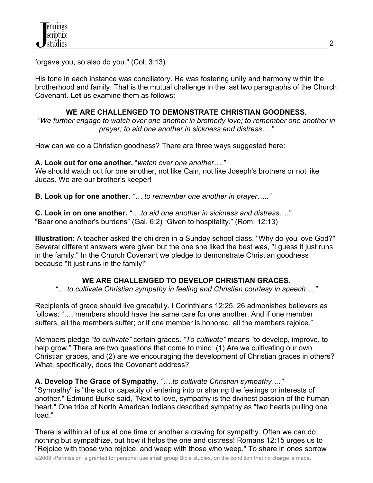forgave you, so also do you." (Col. 3:13)

His tone in each instance was conciliatory. He was fostering unity and harmony within the brotherhood and family. That is the mutual challenge in the last two paragraphs of the Church Covenant. **Let** us examine them as follows:

#### **WE ARE CHALLENGED TO DEMONSTRATE CHRISTIAN GOODNESS.**

*"We further engage to watch over one another in brotherly love; to remember one another in prayer; to aid one another in sickness and distress…."*

How can we do a Christian goodness? There are three ways suggested here:

**A. Look out for one another.** "*watch over one another…."*

We should watch out for one another, not like Cain, not like Joseph's brothers or not like Judas. We are our brother's keeper!

**B. Look up for one another.** *"….to remember one another in prayer….."*

**C. Look in on one another.** *"….to aid one another in sickness and distress…."* "Bear one another's burdens" (Gal. 6:2) "Given to hospitality." (Rom. 12:13)

**Illustration:** A teacher asked the children in a Sunday school class, "Why do you love God?" Several different answers were given but the one she liked the best was, "I guess it just runs in the family." In the Church Covenant we pledge to demonstrate Christian goodness because "It just runs in the family!"

## **WE ARE CHALLENGED TO DEVELOP CHRISTIAN GRACES.**

*"….to cultivate Christian sympathy in feeling and Christian courtesy in speech…."*

Recipients of grace should live gracefully. I Corinthians 12:25, 26 admonishes believers as follows: "…. members should have the same care for one another. And if one member suffers, all the members suffer; or if one member is honored, all the members rejoice."

Members pledge *"to cultivate"* certain graces. *"To cultivate"* means "to develop, improve, to help grow." There are two questions that come to mind: (1) Are we cultivating our own Christian graces, and (2) are we encouraging the development of Christian graces in others? What, specifically, does the Covenant address?

**A. Develop The Grace of Sympathy.** *"….to cultivate Christian sympathy…."*

"Sympathy" is "the act or capacity of entering into or sharing the feelings or interests of another." Edmund Burke said, "Next to love, sympathy is the divinest passion of the human heart." One tribe of North American Indians described sympathy as "two hearts pulling one load."

There is within all of us at one time or another a craving for sympathy. Often we can do nothing but sympathize, but how it helps the one and distress! Romans 12:15 urges us to "Rejoice with those who rejoice, and weep with those who weep." To share in ones sorrow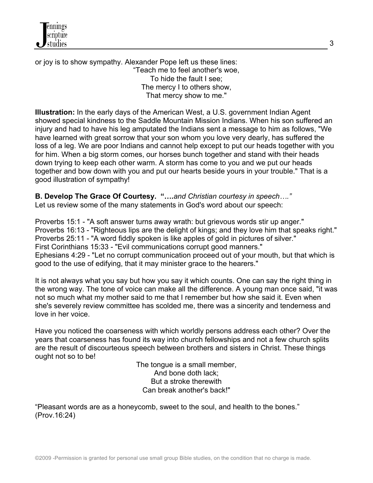or joy is to show sympathy. Alexander Pope left us these lines: "Teach me to feel another's woe, To hide the fault I see; The mercy I to others show, That mercy show to me."

**Illustration:** In the early days of the American West, a U.S. government Indian Agent showed special kindness to the Saddle Mountain Mission Indians. When his son suffered an injury and had to have his leg amputated the Indians sent a message to him as follows, "We have learned with great sorrow that your son whom you love very dearly, has suffered the loss of a leg. We are poor Indians and cannot help except to put our heads together with you for him. When a big storm comes, our horses bunch together and stand with their heads down trying to keep each other warm. A storm has come to you and we put our heads together and bow down with you and put our hearts beside yours in your trouble." That is a good illustration of sympathy!

**B. Develop The Grace Of Courtesy. "….***and Christian courtesy in speech…."* Let us review some of the many statements in God's word about our speech:

Proverbs 15:1 - "A soft answer turns away wrath: but grievous words stir up anger." Proverbs 16:13 - "Righteous lips are the delight of kings; and they love him that speaks right." Proverbs 25:11 - "A word fiddly spoken is like apples of gold in pictures of silver." First Corinthians 15:33 - "Evil communications corrupt good manners." Ephesians 4:29 - "Let no corrupt communication proceed out of your mouth, but that which is good to the use of edifying, that it may minister grace to the hearers."

It is not always what you say but how you say it which counts. One can say the right thing in the wrong way. The tone of voice can make all the difference. A young man once said, "it was not so much what my mother said to me that I remember but how she said it. Even when she's severely review committee has scolded me, there was a sincerity and tenderness and love in her voice.

Have you noticed the coarseness with which worldly persons address each other? Over the years that coarseness has found its way into church fellowships and not a few church splits are the result of discourteous speech between brothers and sisters in Christ. These things ought not so to be!

The tongue is a small member, And bone doth lack; But a stroke therewith Can break another's back!"

"Pleasant words are as a honeycomb, sweet to the soul, and health to the bones." (Prov.16:24)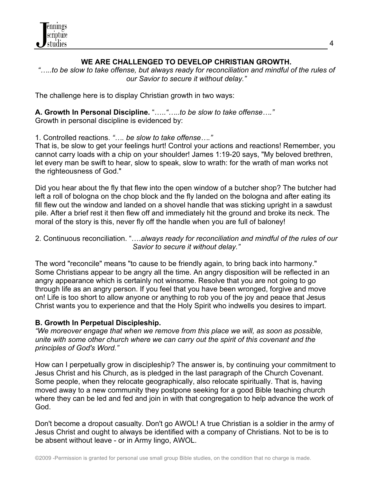

## **WE ARE CHALLENGED TO DEVELOP CHRISTIAN GROWTH.**

*"…..to be slow to take offense, but always ready for reconciliation and mindful of the rules of our Savior to secure it without delay."*

The challenge here is to display Christian growth in two ways:

**A. Growth In Personal Discipline.** "…..*"…..to be slow to take offense…."* Growth in personal discipline is evidenced by:

1. Controlled reactions. *"…. be slow to take offense…."* 

That is, be slow to get your feelings hurt! Control your actions and reactions! Remember, you cannot carry loads with a chip on your shoulder! James 1:19-20 says, "My beloved brethren, let every man be swift to hear, slow to speak, slow to wrath: for the wrath of man works not the righteousness of God."

Did you hear about the fly that flew into the open window of a butcher shop? The butcher had left a roll of bologna on the chop block and the fly landed on the bologna and after eating its fill flew out the window and landed on a shovel handle that was sticking upright in a sawdust pile. After a brief rest it then flew off and immediately hit the ground and broke its neck. The moral of the story is this, never fly off the handle when you are full of baloney!

#### 2. Continuous reconciliation. "….*always ready for reconciliation and mindful of the rules of our Savior to secure it without delay."*

The word "reconcile" means "to cause to be friendly again, to bring back into harmony." Some Christians appear to be angry all the time. An angry disposition will be reflected in an angry appearance which is certainly not winsome. Resolve that you are not going to go through life as an angry person. If you feel that you have been wronged, forgive and move on! Life is too short to allow anyone or anything to rob you of the joy and peace that Jesus Christ wants you to experience and that the Holy Spirit who indwells you desires to impart.

## **B. Growth In Perpetual Discipleship.**

*"We moreover engage that when we remove from this place we will, as soon as possible, unite with some other church where we can carry out the spirit of this covenant and the principles of God's Word."* 

How can I perpetually grow in discipleship? The answer is, by continuing your commitment to Jesus Christ and his Church, as is pledged in the last paragraph of the Church Covenant. Some people, when they relocate geographically, also relocate spiritually. That is, having moved away to a new community they postpone seeking for a good Bible teaching church where they can be led and fed and join in with that congregation to help advance the work of God.

Don't become a dropout casualty. Don't go AWOL! A true Christian is a soldier in the army of Jesus Christ and ought to always be identified with a company of Christians. Not to be is to be absent without leave - or in Army lingo, AWOL.